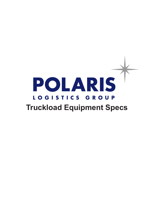# POLARIS LOGISTICS GROUP **Truckload Equipment Specs**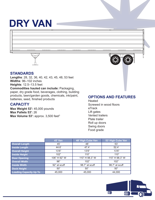# **DRY VAN**



#### **STANDARDS**

**Lengths**: 28, 32, 36, 40, 42, 43, 45, 48, 53 feet **Widths**: 96–102 inches **Heights**: 12.5–13.5 feet **Commodities hauled can include:** Packaging, paper, dry grade food, beverages, clothing, building products, lawn/garden goods, chemicals, ink/paint, batteries, seed, finished products

#### **CAPACITY**

**Max Weight 53':** 45,000 pounds **Max Pallets 53':** 26 Max Volume 53': approx. 3,500 feet<sup>3</sup>

#### **OPTIONS AND FEATURES**

Heated Screwed in wood floors eTrack Lift gates Vented trailers Plate trailer Roll up doors Swing doors Food grade

|                               | <b>45' Van</b> | 48' High Cube Van | 53' High Cube Van |  |
|-------------------------------|----------------|-------------------|-------------------|--|
| <b>Overall Length</b>         | 45'            | 48'               | 53'               |  |
| <b>Inside Length</b>          | 44.6           | 47.4'             | 52.4'             |  |
| <b>Overall Height</b>         | 13'6''         | 13'6''            | 13'6''            |  |
| <b>Inside Height</b>          | 102"           | 110"              | 110"              |  |
| <b>Door Opening</b>           | 106" H 92" W   | 110" H 98.3" W    | 110" H 98.3" W    |  |
| <b>Overall Width</b>          | 96"            | 102"              | 102"              |  |
| <b>Inside Width</b>           | 92" at scuff   | 98.7" at scuff    | 98.7" at scuff    |  |
| <b>Dock Height</b>            | 50"            | 50"               | 50"               |  |
| <b>Loading Capacity Up To</b> | 45,000         | 45,000            | 44,000            |  |

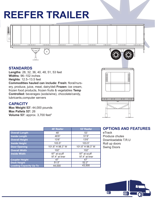### **REEFER TRAILER**



#### **STANDARDS**

**Lengths**: 28, 32, 36, 40, 48, 51, 53 feet **Widths**: 96–102 inches **Heights**: 12.5–13.5 feet **Commodities hauled can include: Fresh:** floral/nursery, produce, juice, meat, dairy/deli **Frozen:** ice cream, frozen food products, frozen fruits & vegetables **Temp Controlled:** beverages (soda/wine), chocolate/candy, lubricants,computer servers

#### **CAPACITY**

**Max Weight 53':** 44,000 pounds **Max Pallets 53':** 26 **Volume 53': approx. 3,700 feet<sup>3</sup>** 

|                               | 48' Reefer                     | 53' Reefer                     |  |
|-------------------------------|--------------------------------|--------------------------------|--|
| <b>Overall Length</b>         | 48'<br>53'                     |                                |  |
| <b>Inside Length</b>          | 46'6"                          | 51'6"                          |  |
| <b>Overall Height</b>         | 13'6''                         | 13'6''                         |  |
| <b>Inside Height</b>          | 103.5"                         | 103.5"                         |  |
| <b>Door Opening</b>           | 101.8" H 98.3" W               | 101.8" H 98.3" W               |  |
| <b>Overall Width</b>          | 102"                           | 102"                           |  |
| <b>Inside Width</b>           | 97" at scuff<br>97.4" at liner | 97" at scuff<br>97.4" at liner |  |
| <b>Coupler Height</b>         | 47'                            | 47'                            |  |
| <b>Dock Height</b>            | 51.5"                          | 52.2"                          |  |
| <b>Loading Capacity Up To</b> | 44,000                         | 43,500                         |  |

#### **OPTIONS AND FEATURES**

mmmm

eTrack Produce chutes Downloadable T.R.U Roll up doors Swing Doors

**Mullar** 

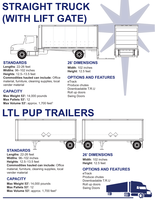# **STRAIGHT TRUCK (WITH LIFT GATE)**



#### **STANDARDS**

**Lengths**: 22-26 feet **Widths**: 96–102 inches **Heights**: 12.5–13.5 feet

**Commodities hauled can include:** Office material, furniture, cleaning supplies, local vender material

#### **CAPACITY**

**Max Weight 53':** 14,000 pounds **Max Pallets 53':** 12 **Max Volume 53': approx. 1,700 feet<sup>3</sup>** 

#### **26' DIMENSIONS**

**Width**: 102 inches **Height**: 12.5 feet

#### **OPTIONS AND FEATURES**

eTrack Produce chutes Downloadable T.R.U Roll up doors Swing Doors

### **LTL PUP TRAILERS**



#### **STANDARDS**

**Lengths**: 22-26 feet **Widths**: 96–102 inches **Heights**: 12.5–13.5 feet **Commodities hauled can include:** Office material, furniture, cleaning supplies, local vender material

#### **CAPACITY**

**Max Weight 53':** 14,000 pounds **Max Pallets 53':** 12 Max Volume 53': approx. 1,700 feet<sup>3</sup>

#### **26' DIMENSIONS**

**Width**: 102 inches **Height**: 12.5 feet

#### **OPTIONS AND FEATURES**

eTrack Produce chutes Downloadable T.R.U Roll up doors Swing Doors

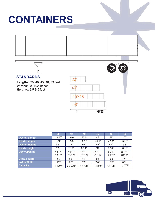# **CONTAINERS**





#### **STANDARDS**

屯

**Lengths**: 20, 40, 45, 48, 53 feet **Widths**: 98–102 inches **Heights**: 8.5-9.5 feet



|                       | 20'                 | 40'                    | 40'                    | 45'                     | 487                    | 53'                     |
|-----------------------|---------------------|------------------------|------------------------|-------------------------|------------------------|-------------------------|
| <b>Overall Length</b> | 19.10"              | 40.0"                  | 40.0"                  | 45'                     | 48'                    | 53'                     |
| <b>Inside Length</b>  | 19'4"               | 39'6"                  | 39'6"                  | 44.6"                   | 47.6"                  | 52.3"                   |
| <b>Overall Height</b> | 8'6''               | 8'6''                  | 9'6''                  | 9'6''                   | 9'6''                  | 9'6''                   |
| <b>Inside Height</b>  | 7'9''               | 7'10''                 | 8'10"                  | 8'10"                   | 8'10"                  | 8'10"                   |
| <b>Door Opening</b>   | 7'6" H<br>$7'8''$ W | $7'6''$ H<br>$7'8''$ W | $8'6''$ H<br>$7'8''$ W | $8'6''$ H<br>7'8" W     | $8'6''$ H<br>$8'2''$ W | 8'10" H<br>8'2" W       |
| <b>Overall Width</b>  | 8'0''               | 8'0''                  | 8'0''                  | 8'0''                   | 8'6''                  | 8'6''                   |
| <b>Inside Width</b>   | 7'8"                | 7'8''                  | 7'8''                  | 7'8''                   | 8'2"                   | 8'2"                    |
| <b>Capacity</b>       | $1,170ft^3$         | 2,390f <sup>3</sup>    | $1,170ft^3$            | $1,170$ ft <sup>3</sup> | $1,170ft^3$            | $1,170$ ft <sup>3</sup> |

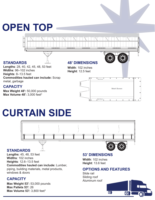### **OPEN TOP**



**Widths**: 96–102 inches **Heights**: 8–13.5 feet **Commodities hauled can include:** Scrap metal, garbage

#### **CAPACITY**

**Max Weight 48':** 50,000 pounds **Max Volume 48':** 3,000 feet3

**Height**: 12.5 feet



### **CURTAIN SIDE**



**Max Weight 53':** 53,000 pounds **Max Pallets 53':** 26 **Max Volume 53': 3,800 feet<sup>3</sup>** 

#### $00$

00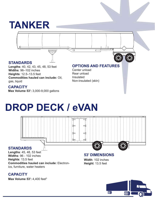### **TANKER**



**Commodities hauled can include:** Oil, gas, liquid

#### **CAPACITY**

**Max Volume 53':** 3,000-9,000 gallons

Insulated Non-insulated (skin)

# **DROP DECK / eVAN**



**CAPACITY**

**Max Volume 53': 4,400 feet<sup>3</sup>**